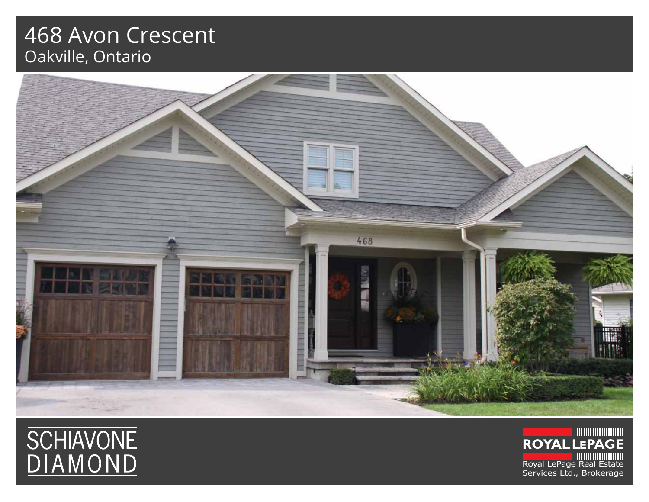## 468 Avon Crescent Oakville, Ontario





**ROYAL LEPAGE** Royal LePage Real Estate Services Ltd., Brokerage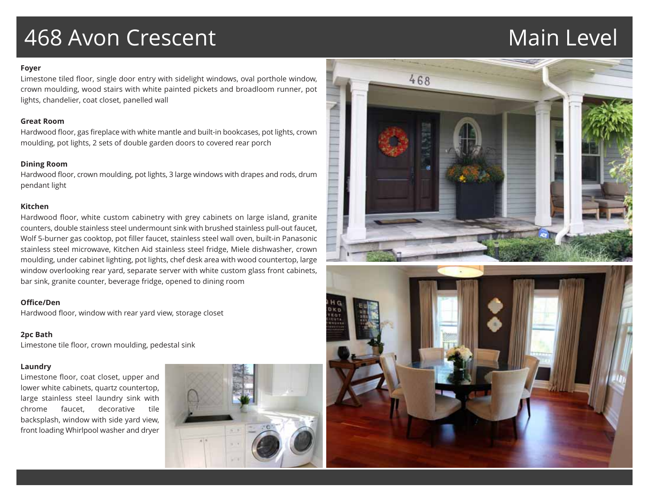## 468 Avon Crescent Nain Level

### **Foyer**

Limestone tiled floor, single door entry with sidelight windows, oval porthole window, crown moulding, wood stairs with white painted pickets and broadloom runner, pot lights, chandelier, coat closet, panelled wall

### **Great Room**

Hardwood floor, gas fireplace with white mantle and built-in bookcases, pot lights, crown moulding, pot lights, 2 sets of double garden doors to covered rear porch

## **Dining Room**

Hardwood floor, crown moulding, pot lights, 3 large windows with drapes and rods, drum pendant light

## **Kitchen**

Hardwood floor, white custom cabinetry with grey cabinets on large island, granite counters, double stainless steel undermount sink with brushed stainless pull-out faucet, Wolf 5-burner gas cooktop, pot filler faucet, stainless steel wall oven, built-in Panasonic stainless steel microwave, Kitchen Aid stainless steel fridge, Miele dishwasher, crown moulding, under cabinet lighting, pot lights, chef desk area with wood countertop, large window overlooking rear yard, separate server with white custom glass front cabinets, bar sink, granite counter, beverage fridge, opened to dining room

## **Office/Den**

Hardwood floor, window with rear yard view, storage closet

## **2pc Bath**

Limestone tile floor, crown moulding, pedestal sink

## **Laundry**

Limestone floor, coat closet, upper and lower white cabinets, quartz countertop, large stainless steel laundry sink with chrome faucet, decorative tile backsplash, window with side yard view, front loading Whirlpool washer and dryer



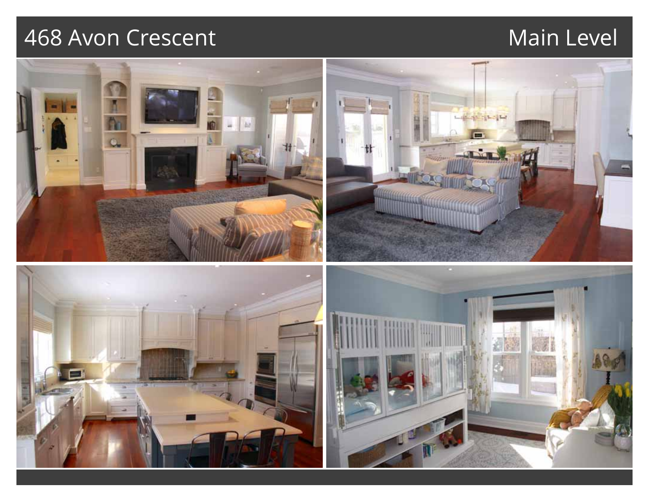## 468 Avon Crescent Main Level

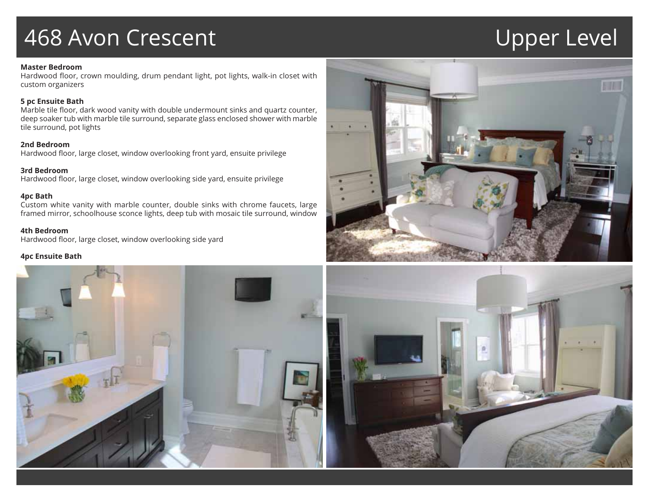## 468 Avon Crescent View Upper Level

### **Master Bedroom**

Hardwood floor, crown moulding, drum pendant light, pot lights, walk-in closet with custom organizers

### **5 pc Ensuite Bath**

Marble tile floor, dark wood vanity with double undermount sinks and quartz counter, deep soaker tub with marble tile surround, separate glass enclosed shower with marble tile surround, pot lights

## **2nd Bedroom**

Hardwood floor, large closet, window overlooking front yard, ensuite privilege

### **3rd Bedroom**

Hardwood floor, large closet, window overlooking side yard, ensuite privilege

### **4pc Bath**

Custom white vanity with marble counter, double sinks with chrome faucets, large framed mirror, schoolhouse sconce lights, deep tub with mosaic tile surround, window

## **4th Bedroom**

Hardwood floor, large closet, window overlooking side yard

### **4pc Ensuite Bath**



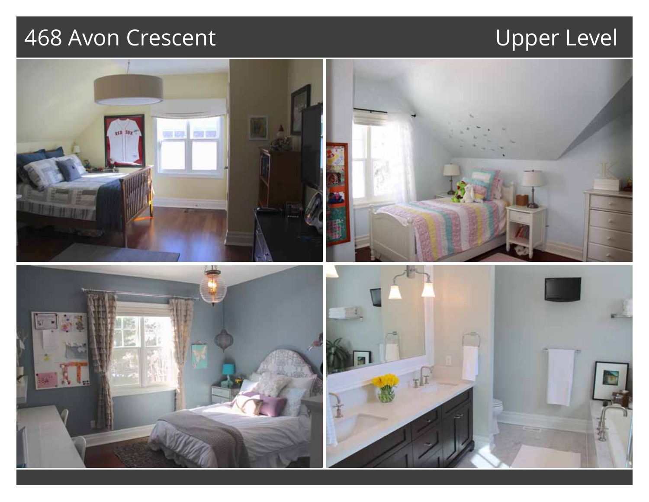# 468 Avon Crescent Upper Level

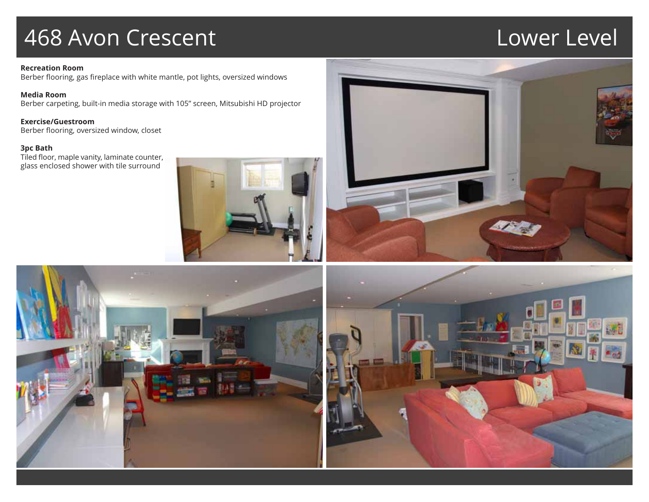## 468 Avon Crescent Lower Level

### **Recreation Room** Berber flooring, gas fireplace with white mantle, pot lights, oversized windows

**Media Room** Berber carpeting, built-in media storage with 105" screen, Mitsubishi HD projector

**Exercise/Guestroom** Berber flooring, oversized window, closet

**3pc Bath**

Tiled floor, maple vanity, laminate counter, glass enclosed shower with tile surround







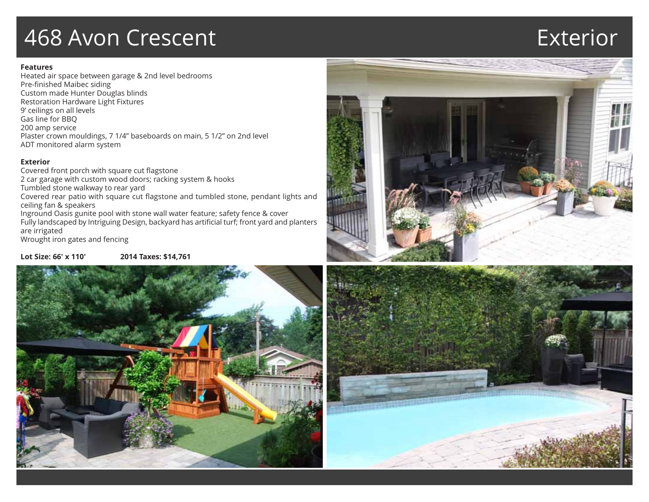## 468 Avon Crescent Exterior

## **Features**

Heated air space between garage & 2nd level bedrooms Pre-finished Maibec siding Custom made Hunter Douglas blinds Restoration Hardware Light Fixtures 9' ceilings on all levels Gas line for BBQ 200 amp service Plaster crown mouldings, 7 1/4" baseboards on main, 5 1/2" on 2nd level ADT monitored alarm system

## **Exterior**

Covered front porch with square cut flagstone 2 car garage with custom wood doors; racking system & hooks Tumbled stone walkway to rear yard Covered rear patio with square cut flagstone and tumbled stone, pendant lights and ceiling fan & speakers Inground Oasis gunite pool with stone wall water feature; safety fence & cover Fully landscaped by Intriguing Design, backyard has artificial turf; front yard and planters are irrigated Wrought iron gates and fencing

## **Lot Size: 66' x 110' 2014 Taxes: \$14,761**





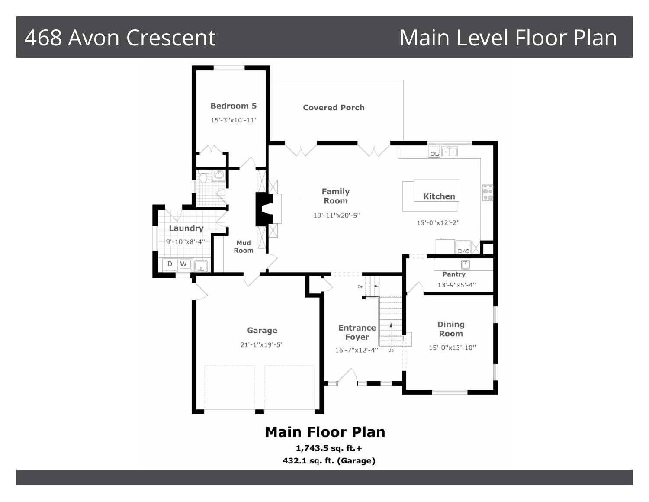## 468 Avon Crescent Main Level Floor Plan

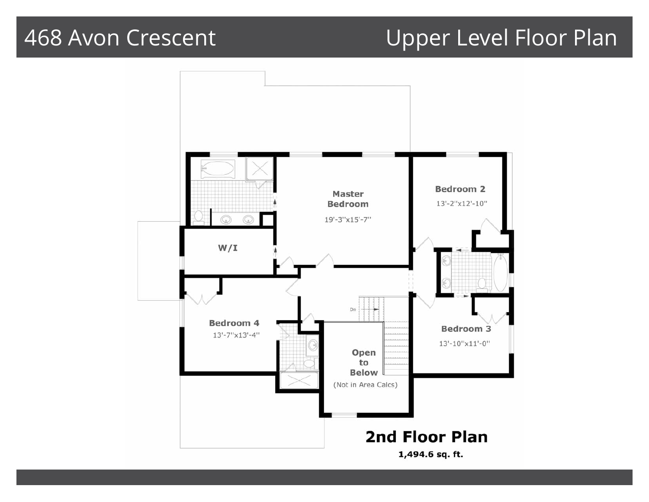## 468 Avon Crescent Upper Level Floor Plan

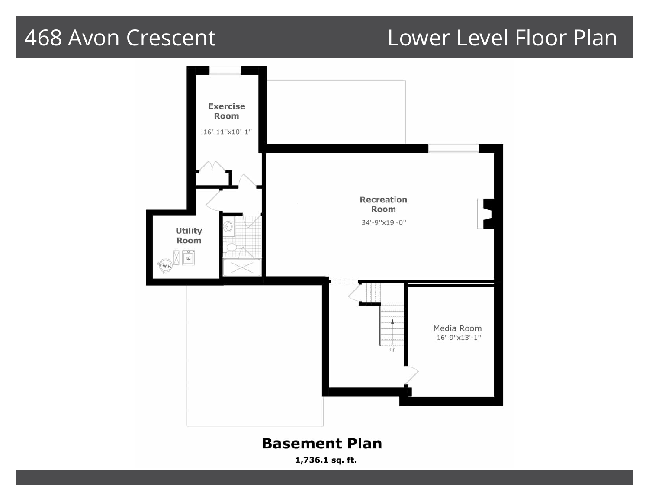## 468 Avon Crescent Lower Level Floor Plan